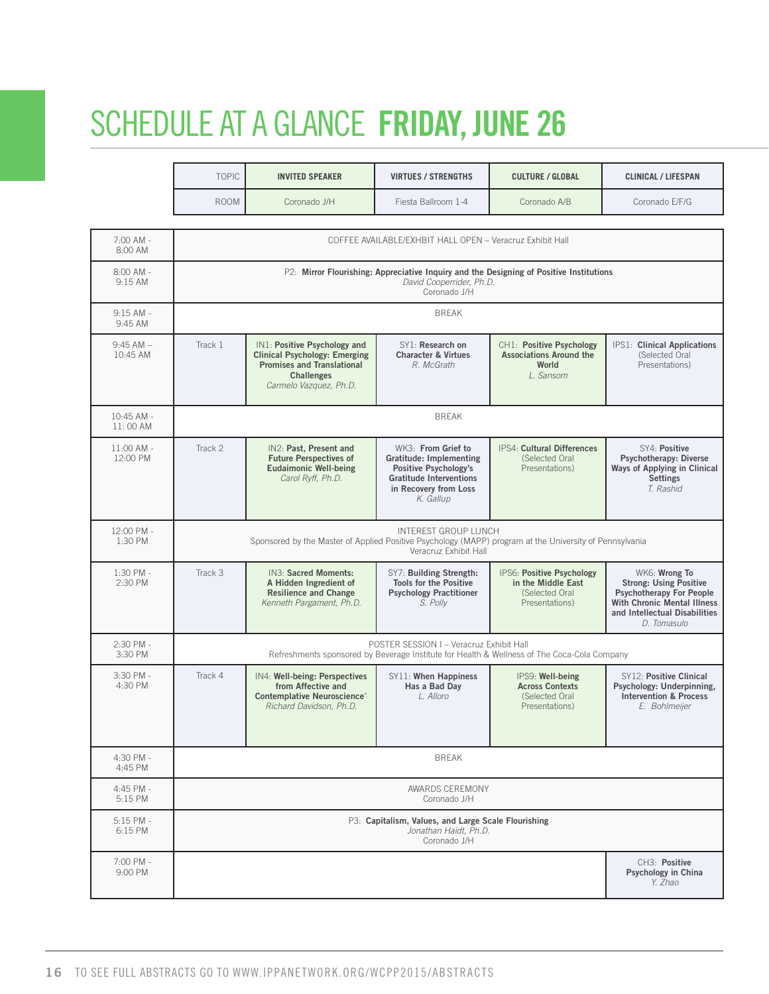# SCHEDULE AT A GLANCE **FRIDAY, JUNE 26**

| <b>TOPIC</b> | <b>VIRTUES / STRENGTHS</b><br>INVITED SPEAKER | <b>CULTURE / GLOBAL</b> | CLINICAL / LIFESPAN |
|--------------|-----------------------------------------------|-------------------------|---------------------|
| <b>ROOM</b>  | Coronado J/H<br>riesta Ballroom 1-4           | Coronado A/B            | Coronado E/F/G      |

| 7:00 AM -<br>8:00 AM      |         |                                                                                                                                                   | COFFEE AVAILABLE/EXHBIT HALL OPEN - Veracruz Exhibit Hall                                                                                      |                                                                                             |                                                                                                                                                                  |
|---------------------------|---------|---------------------------------------------------------------------------------------------------------------------------------------------------|------------------------------------------------------------------------------------------------------------------------------------------------|---------------------------------------------------------------------------------------------|------------------------------------------------------------------------------------------------------------------------------------------------------------------|
| 8:00 AM -<br>9:15 AM      |         |                                                                                                                                                   | David Cooperrider, Ph.D.<br>Coronado J/H                                                                                                       | P2: Mirror Flourishing: Appreciative Inquiry and the Designing of Positive Institutions     |                                                                                                                                                                  |
| $9:15$ AM -<br>9:45 AM    |         |                                                                                                                                                   | <b>BREAK</b>                                                                                                                                   |                                                                                             |                                                                                                                                                                  |
| $9:45$ AM $-$<br>10:45 AM | Track 1 | IN1: Positive Psychology and<br><b>Clinical Psychology: Emerging</b><br><b>Promises and Translational</b><br>Challenges<br>Carmelo Vazquez, Ph.D. | SY1: Research on<br><b>Character &amp; Virtues</b><br>R. McGrath                                                                               | CH1: Positive Psychology<br><b>Associations Around the</b><br>World<br>L. Sansom            | IPS1: Clinical Applications<br>(Selected Oral<br>Presentations)                                                                                                  |
| 10:45 AM -<br>11:00 AM    |         |                                                                                                                                                   | <b>BREAK</b>                                                                                                                                   |                                                                                             |                                                                                                                                                                  |
| $11:00$ AM -<br>12:00 PM  | Track 2 | IN2: Past, Present and<br><b>Future Perspectives of</b><br>Eudaimonic Well-being<br>Carol Ryff, Ph.D.                                             | WK3: From Grief to<br>Gratitude: Implementing<br>Positive Psychology's<br><b>Gratitude Interventions</b><br>in Recovery from Loss<br>K. Gallup | IPS4: Cultural Differences<br>(Selected Oral<br>Presentations)                              | SY4: Positive<br><b>Psychotherapy: Diverse</b><br>Ways of Applying in Clinical<br>Settings<br>T. Rashid                                                          |
| 12:00 PM -<br>1:30 PM     |         | Sponsored by the Master of Applied Positive Psychology (MAPP) program at the University of Pennsylvania                                           | INTEREST GROUP LUNCH<br>Veracruz Exhibit Hall                                                                                                  |                                                                                             |                                                                                                                                                                  |
| 1:30 PM -<br>2:30 PM      | Track 3 | IN3: Sacred Moments:<br>A Hidden Ingredient of<br><b>Resilience and Change</b><br>Kenneth Pargament, Ph.D.                                        | SY7: Building Strength:<br><b>Tools for the Positive</b><br><b>Psychology Practitioner</b><br>S. Polly                                         | IPS6: Positive Psychology<br>in the Middle East<br>(Selected Oral<br>Presentations)         | WK6: Wrong To<br><b>Strong: Using Positive</b><br><b>Psychotherapy For People</b><br>With Chronic Mental Illness<br>and Intellectual Disabilities<br>D. Tomasulo |
| 2:30 PM -<br>3:30 PM      |         |                                                                                                                                                   | POSTER SESSION I - Veracruz Exhibit Hall                                                                                                       | Refreshments sponsored by Beverage Institute for Health & Wellness of The Coca-Cola Company |                                                                                                                                                                  |
| 3:30 PM -<br>4:30 PM      | Track 4 | IN4: Well-being: Perspectives<br>from Affective and<br><b>Contemplative Neuroscience</b> "<br>Richard Davidson, Ph.D.                             | SY11: When Happiness<br>Has a Bad Day<br>L. Alloro                                                                                             | IPS9: Well-being<br><b>Across Contexts</b><br>(Selected Oral<br>Presentations)              | SY12: Positive Clinical<br>Psychology: Underpinning,<br><b>Intervention &amp; Process</b><br>E. Bohlmeijer                                                       |
| 4:30 PM -<br>4:45 PM      |         |                                                                                                                                                   | <b>BREAK</b>                                                                                                                                   |                                                                                             |                                                                                                                                                                  |
| 4:45 PM -<br>5:15 PM      |         |                                                                                                                                                   | AWARDS CEREMONY<br>Coronado J/H                                                                                                                |                                                                                             |                                                                                                                                                                  |
| $5:15$ PM -<br>6:15 PM    |         |                                                                                                                                                   | P3: Capitalism, Values, and Large Scale Flourishing<br>Jonathan Haidt, Ph.D.<br>Coronado J/H                                                   |                                                                                             |                                                                                                                                                                  |
| 7:00 PM -                 |         |                                                                                                                                                   |                                                                                                                                                |                                                                                             |                                                                                                                                                                  |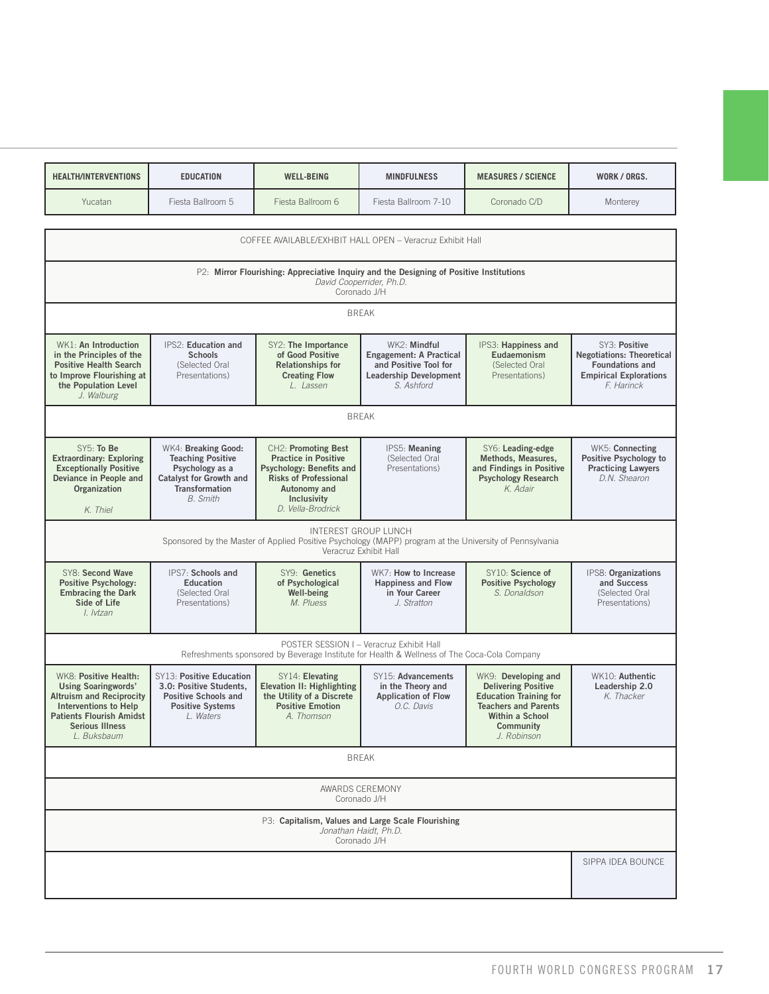| <b>HEALTH/INTERVENTIONS</b> | <b>EDUCATION</b>  | <b>WELL-BEING</b> | <b>MINDFULNESS</b>   | <b>MEASURES / SCIENCE</b> | WORK / ORGS. |
|-----------------------------|-------------------|-------------------|----------------------|---------------------------|--------------|
| Yucatan                     | Fiesta Ballroom 5 | iesta Ballroom 6  | Fiesta Ballroom 7-10 | Coronado C/D              | Monterey     |

| COFFEE AVAILABLE/EXHBIT HALL OPEN - Veracruz Exhibit Hall<br>P2: Mirror Flourishing: Appreciative Inquiry and the Designing of Positive Institutions<br>David Cooperrider, Ph.D.<br>Coronado J/H  |                                                                                                                                 |                                                                                                                                                                                                                                  |                                                                                                                                                                                                                                               |                                                                                                                            |  |  |  |  |
|---------------------------------------------------------------------------------------------------------------------------------------------------------------------------------------------------|---------------------------------------------------------------------------------------------------------------------------------|----------------------------------------------------------------------------------------------------------------------------------------------------------------------------------------------------------------------------------|-----------------------------------------------------------------------------------------------------------------------------------------------------------------------------------------------------------------------------------------------|----------------------------------------------------------------------------------------------------------------------------|--|--|--|--|
|                                                                                                                                                                                                   |                                                                                                                                 |                                                                                                                                                                                                                                  |                                                                                                                                                                                                                                               |                                                                                                                            |  |  |  |  |
| WK1: An Introduction<br>in the Principles of the<br><b>Schools</b><br><b>Positive Health Search</b><br>(Selected Oral<br>to Improve Flourishing at<br>Presentations)<br>the Population Level      | SY2: The Importance<br>of Good Positive<br><b>Relationships for</b><br><b>Creating Flow</b><br>L. Lassen                        | WK2: Mindful<br>Engagement: A Practical<br>and Positive Tool for<br><b>Leadership Development</b><br>S. Ashford                                                                                                                  | IPS3: Happiness and<br>Eudaemonism<br>(Selected Oral<br>Presentations)                                                                                                                                                                        | SY3: Positive<br><b>Negotiations: Theoretical</b><br><b>Foundations and</b><br><b>Empirical Explorations</b><br>F. Harinck |  |  |  |  |
| <b>BREAK</b>                                                                                                                                                                                      |                                                                                                                                 |                                                                                                                                                                                                                                  |                                                                                                                                                                                                                                               |                                                                                                                            |  |  |  |  |
| <b>Extraordinary: Exploring</b><br><b>Exceptionally Positive</b><br>Psychology as a<br>Deviance in People and<br>Transformation<br><b>B.</b> Smith                                                | CH2: Promoting Best<br><b>Practice in Positive</b><br>Risks of Professional<br>Autonomy and<br>Inclusivity<br>D. Vella-Brodrick | IPS5: Meaning<br>(Selected Oral<br>Presentations)                                                                                                                                                                                | SY6: Leading-edge<br>Methods, Measures,<br>and Findings in Positive<br><b>Psychology Research</b><br>K. Adair                                                                                                                                 | WK5: Connecting<br>Positive Psychology to<br><b>Practicing Lawyers</b><br>D.N. Shearon                                     |  |  |  |  |
|                                                                                                                                                                                                   |                                                                                                                                 |                                                                                                                                                                                                                                  |                                                                                                                                                                                                                                               |                                                                                                                            |  |  |  |  |
| SY8: Second Wave<br><b>Positive Psychology:</b><br>Education<br><b>Embracing the Dark</b><br>(Selected Oral<br>Presentations)                                                                     | SY9: Genetics<br>of Psychological<br>Well-being<br>M. Pluess                                                                    | WK7: How to Increase<br><b>Happiness and Flow</b><br>in Your Career<br>J. Stratton                                                                                                                                               | SY10: Science of<br><b>Positive Psychology</b><br>S. Donaldson                                                                                                                                                                                | IPS8: Organizations<br>and Success<br>(Selected Oral<br>Presentations)                                                     |  |  |  |  |
| POSTER SESSION I - Veracruz Exhibit Hall<br>Refreshments sponsored by Beverage Institute for Health & Wellness of The Coca-Cola Company                                                           |                                                                                                                                 |                                                                                                                                                                                                                                  |                                                                                                                                                                                                                                               |                                                                                                                            |  |  |  |  |
| WK8: Positive Health:<br><b>Using Soaringwords'</b><br>Altruism and Reciprocity<br>Interventions to Help<br><b>Patients Flourish Amidst</b><br>L. Waters<br><b>Serious Illness</b><br>L. Buksbaum | SY14: Elevating<br>the Utility of a Discrete<br><b>Positive Emotion</b><br>A. Thomson                                           | SY15: Advancements<br>in the Theory and<br><b>Application of Flow</b><br>O.C. Davis                                                                                                                                              | WK9: Developing and<br><b>Delivering Positive</b><br><b>Education Training for</b><br><b>Teachers and Parents</b><br>Within a School<br>Community<br>J. Robinson                                                                              | WK10: Authentic<br>Leadership 2.0<br>K. Thacker                                                                            |  |  |  |  |
|                                                                                                                                                                                                   |                                                                                                                                 |                                                                                                                                                                                                                                  |                                                                                                                                                                                                                                               |                                                                                                                            |  |  |  |  |
| AWARDS CEREMONY<br>Coronado J/H                                                                                                                                                                   |                                                                                                                                 |                                                                                                                                                                                                                                  |                                                                                                                                                                                                                                               |                                                                                                                            |  |  |  |  |
|                                                                                                                                                                                                   |                                                                                                                                 |                                                                                                                                                                                                                                  |                                                                                                                                                                                                                                               |                                                                                                                            |  |  |  |  |
|                                                                                                                                                                                                   |                                                                                                                                 |                                                                                                                                                                                                                                  |                                                                                                                                                                                                                                               | SIPPA IDEA BOUNCE                                                                                                          |  |  |  |  |
|                                                                                                                                                                                                   |                                                                                                                                 | IPS2: Education and<br>WK4: Breaking Good:<br><b>Teaching Positive</b><br>Catalyst for Growth and<br>IPS7: Schools and<br>SY13: Positive Education<br>3.0: Positive Students,<br>Positive Schools and<br><b>Positive Systems</b> | <b>BREAK</b><br><b>Psychology: Benefits and</b><br>INTEREST GROUP LUNCH<br>Veracruz Exhibit Hall<br>Elevation II: Highlighting<br><b>BREAK</b><br>P3: Capitalism, Values and Large Scale Flourishing<br>Jonathan Haidt, Ph.D.<br>Coronado J/H | Sponsored by the Master of Applied Positive Psychology (MAPP) program at the University of Pennsylvania                    |  |  |  |  |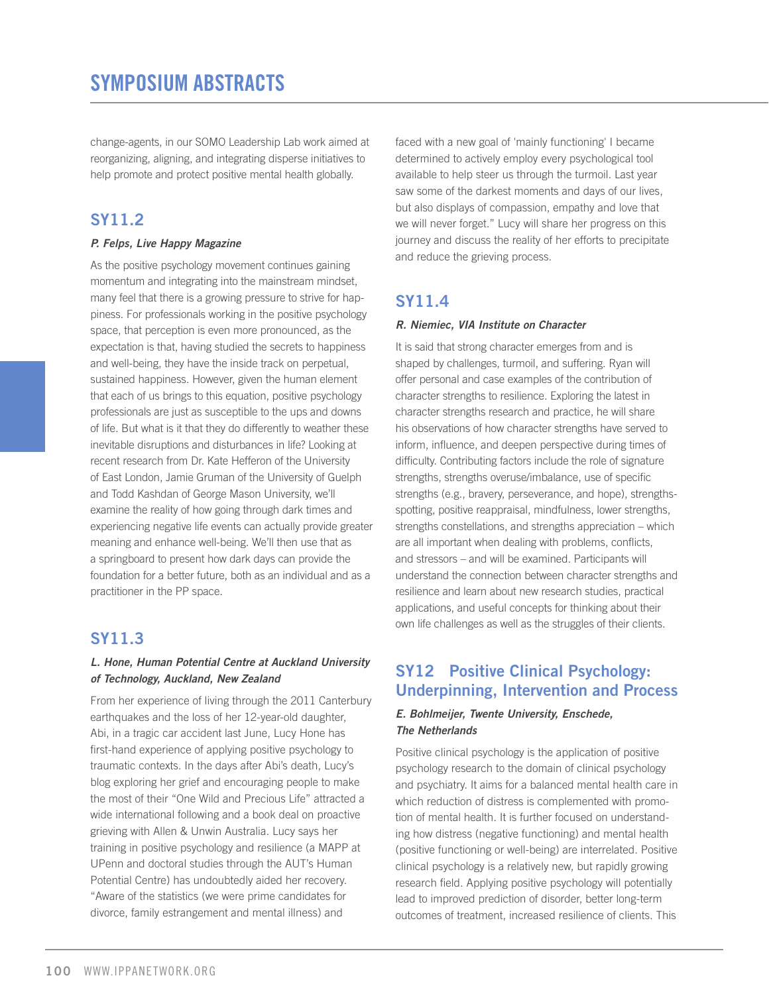change-agents, in our SOMO Leadership Lab work aimed at reorganizing, aligning, and integrating disperse initiatives to help promote and protect positive mental health globally.

# **SY11.2**

## *P. Felps, Live Happy Magazine*

As the positive psychology movement continues gaining momentum and integrating into the mainstream mindset, many feel that there is a growing pressure to strive for happiness. For professionals working in the positive psychology space, that perception is even more pronounced, as the expectation is that, having studied the secrets to happiness and well-being, they have the inside track on perpetual, sustained happiness. However, given the human element that each of us brings to this equation, positive psychology professionals are just as susceptible to the ups and downs of life. But what is it that they do differently to weather these inevitable disruptions and disturbances in life? Looking at recent research from Dr. Kate Hefferon of the University of East London, Jamie Gruman of the University of Guelph and Todd Kashdan of George Mason University, we'll examine the reality of how going through dark times and experiencing negative life events can actually provide greater meaning and enhance well-being. We'll then use that as a springboard to present how dark days can provide the foundation for a better future, both as an individual and as a practitioner in the PP space.

# **SY11.3**

## *L. Hone, Human Potential Centre at Auckland University of Technology, Auckland, New Zealand*

From her experience of living through the 2011 Canterbury earthquakes and the loss of her 12-year-old daughter, Abi, in a tragic car accident last June, Lucy Hone has first-hand experience of applying positive psychology to traumatic contexts. In the days after Abi's death, Lucy's blog exploring her grief and encouraging people to make the most of their "One Wild and Precious Life" attracted a wide international following and a book deal on proactive grieving with Allen & Unwin Australia. Lucy says her training in positive psychology and resilience (a MAPP at UPenn and doctoral studies through the AUT's Human Potential Centre) has undoubtedly aided her recovery. "Aware of the statistics (we were prime candidates for divorce, family estrangement and mental illness) and

faced with a new goal of 'mainly functioning' I became determined to actively employ every psychological tool available to help steer us through the turmoil. Last year saw some of the darkest moments and days of our lives, but also displays of compassion, empathy and love that we will never forget." Lucy will share her progress on this journey and discuss the reality of her efforts to precipitate and reduce the grieving process.

# **SY11.4**

## *R. Niemiec, VIA Institute on Character*

It is said that strong character emerges from and is shaped by challenges, turmoil, and suffering. Ryan will offer personal and case examples of the contribution of character strengths to resilience. Exploring the latest in character strengths research and practice, he will share his observations of how character strengths have served to inform, influence, and deepen perspective during times of difficulty. Contributing factors include the role of signature strengths, strengths overuse/imbalance, use of specific strengths (e.g., bravery, perseverance, and hope), strengthsspotting, positive reappraisal, mindfulness, lower strengths, strengths constellations, and strengths appreciation – which are all important when dealing with problems, conflicts, and stressors – and will be examined. Participants will understand the connection between character strengths and resilience and learn about new research studies, practical applications, and useful concepts for thinking about their own life challenges as well as the struggles of their clients.

# **SY12 Positive Clinical Psychology: Underpinning, Intervention and Process**

## *E. Bohlmeijer, Twente University, Enschede, The Netherlands*

Positive clinical psychology is the application of positive psychology research to the domain of clinical psychology and psychiatry. It aims for a balanced mental health care in which reduction of distress is complemented with promotion of mental health. It is further focused on understanding how distress (negative functioning) and mental health (positive functioning or well-being) are interrelated. Positive clinical psychology is a relatively new, but rapidly growing research field. Applying positive psychology will potentially lead to improved prediction of disorder, better long-term outcomes of treatment, increased resilience of clients. This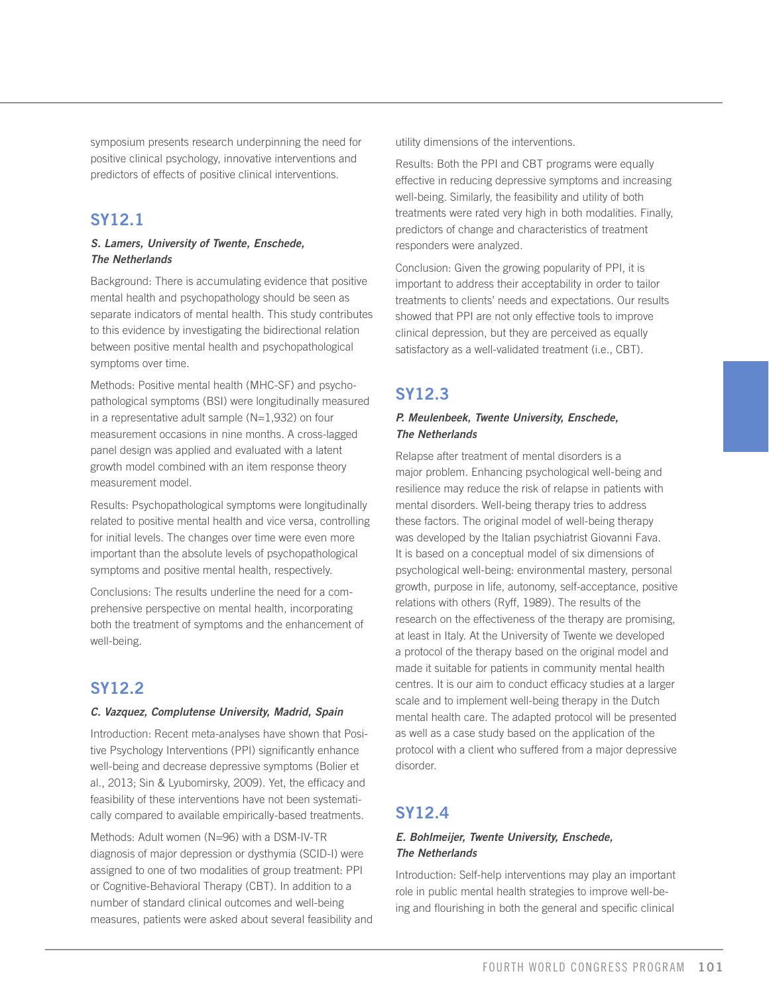symposium presents research underpinning the need for positive clinical psychology, innovative interventions and predictors of effects of positive clinical interventions.

## **SY12.1**

### *S. Lamers, University of Twente, Enschede, The Netherlands*

Background: There is accumulating evidence that positive mental health and psychopathology should be seen as separate indicators of mental health. This study contributes to this evidence by investigating the bidirectional relation between positive mental health and psychopathological symptoms over time.

Methods: Positive mental health (MHC-SF) and psychopathological symptoms (BSI) were longitudinally measured in a representative adult sample (N=1,932) on four measurement occasions in nine months. A cross-lagged panel design was applied and evaluated with a latent growth model combined with an item response theory measurement model.

Results: Psychopathological symptoms were longitudinally related to positive mental health and vice versa, controlling for initial levels. The changes over time were even more important than the absolute levels of psychopathological symptoms and positive mental health, respectively.

Conclusions: The results underline the need for a comprehensive perspective on mental health, incorporating both the treatment of symptoms and the enhancement of well-being.

# **SY12.2**

### *C. Vazquez, Complutense University, Madrid, Spain*

Introduction: Recent meta-analyses have shown that Positive Psychology Interventions (PPI) significantly enhance well-being and decrease depressive symptoms (Bolier et al., 2013; Sin & Lyubomirsky, 2009). Yet, the efficacy and feasibility of these interventions have not been systematically compared to available empirically-based treatments.

Methods: Adult women (N=96) with a DSM-IV-TR diagnosis of major depression or dysthymia (SCID-I) were assigned to one of two modalities of group treatment: PPI or Cognitive-Behavioral Therapy (CBT). In addition to a number of standard clinical outcomes and well-being measures, patients were asked about several feasibility and utility dimensions of the interventions.

Results: Both the PPI and CBT programs were equally effective in reducing depressive symptoms and increasing well-being. Similarly, the feasibility and utility of both treatments were rated very high in both modalities. Finally, predictors of change and characteristics of treatment responders were analyzed.

Conclusion: Given the growing popularity of PPI, it is important to address their acceptability in order to tailor treatments to clients' needs and expectations. Our results showed that PPI are not only effective tools to improve clinical depression, but they are perceived as equally satisfactory as a well-validated treatment (i.e., CBT).

## **SY12.3**

## *P. Meulenbeek, Twente University, Enschede, The Netherlands*

Relapse after treatment of mental disorders is a major problem. Enhancing psychological well-being and resilience may reduce the risk of relapse in patients with mental disorders. Well-being therapy tries to address these factors. The original model of well-being therapy was developed by the Italian psychiatrist Giovanni Fava. It is based on a conceptual model of six dimensions of psychological well-being: environmental mastery, personal growth, purpose in life, autonomy, self-acceptance, positive relations with others (Ryff, 1989). The results of the research on the effectiveness of the therapy are promising, at least in Italy. At the University of Twente we developed a protocol of the therapy based on the original model and made it suitable for patients in community mental health centres. It is our aim to conduct efficacy studies at a larger scale and to implement well-being therapy in the Dutch mental health care. The adapted protocol will be presented as well as a case study based on the application of the protocol with a client who suffered from a major depressive disorder.

# **SY12.4**

## *E. Bohlmeijer, Twente University, Enschede, The Netherlands*

Introduction: Self-help interventions may play an important role in public mental health strategies to improve well-being and flourishing in both the general and specific clinical